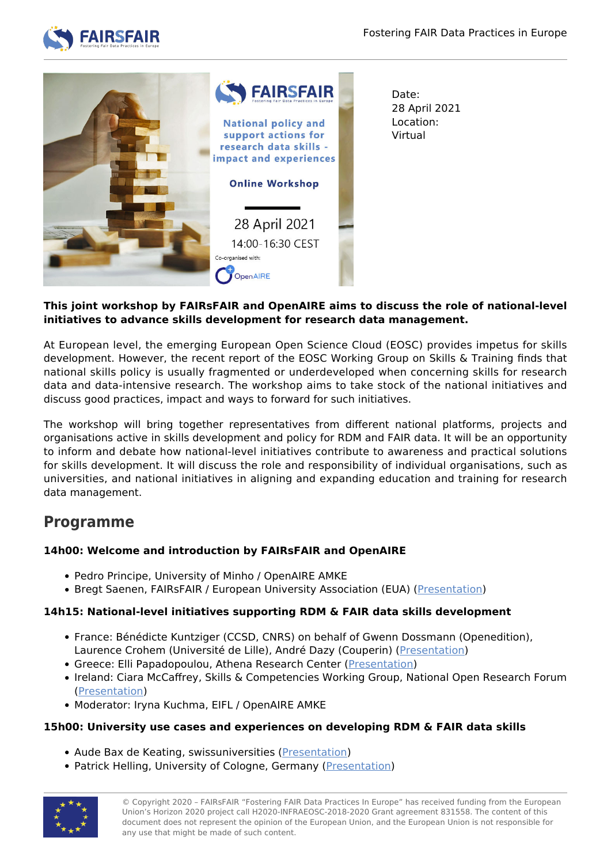



Date: 28 April 2021 Location: Virtual

## **This joint workshop by FAIRsFAIR and OpenAIRE aims to discuss the role of national-level initiatives to advance skills development for research data management.**

At European level, the emerging European Open Science Cloud (EOSC) provides impetus for skills development. However, the recent report of the EOSC Working Group on Skills & Training finds that national skills policy is usually fragmented or underdeveloped when concerning skills for research data and data-intensive research. The workshop aims to take stock of the national initiatives and discuss good practices, impact and ways to forward for such initiatives.

The workshop will bring together representatives from different national platforms, projects and organisations active in skills development and policy for RDM and FAIR data. It will be an opportunity to inform and debate how national-level initiatives contribute to awareness and practical solutions for skills development. It will discuss the role and responsibility of individual organisations, such as universities, and national initiatives in aligning and expanding education and training for research data management.

# **Programme**

# **14h00: Welcome and introduction by FAIRsFAIR and OpenAIRE**

- Pedro Principe, University of Minho / OpenAIRE AMKE
- Bregt Saenen, FAIRsFAIR / European University Association (EUA) ([Presentation](https://www.fairsfair.eu/sites/default/files/02_20210428_FsF_OpenAIRE-stakeholder-ws.pdf#overlay-context=events/national-policy-and-support-actions-research-data-skills-impact-and-experiences-0))

## **14h15: National-level initiatives supporting RDM & FAIR data skills development**

- France: Bénédicte Kuntziger (CCSD, CNRS) on behalf of Gwenn Dossmann (Openedition), Laurence Crohem (Université de Lille), André Dazy (Couperin) ([Presentation\)](https://www.fairsfair.eu/sites/default/files/1_France_FAIRsFAIR_OpenAIRE%20workshop.pdf#overlay-context=events/national-policy-and-support-actions-research-data-skills-impact-and-experiences-0)
- **Greece: Elli Papadopoulou, Athena Research Center ([Presentation\)](https://www.fairsfair.eu/sites/default/files/2_OpenAIRExFAIRsFAIR-workshop-Elli-Papadopoulou-20210428.pdf#overlay-context=events/national-policy-and-support-actions-research-data-skills-impact-and-experiences-0)**
- Ireland: Ciara McCaffrey, Skills & Competencies Working Group, National Open Research Forum [\(Presentation\)](https://www.fairsfair.eu/sites/default/files/3_National-level%20initiatives%20supporting%20RDM%20%20FAIR%20data%20skills%20development%20-%20Ireland.pdf#overlay-context=events/national-policy-and-support-actions-research-data-skills-impact-and-experiences-0)
- Moderator: Iryna Kuchma, EIFL / OpenAIRE AMKE

# **15h00: University use cases and experiences on developing RDM & FAIR data skills**

- Aude Bax de Keating, swissuniversities [\(Presentation](https://www.fairsfair.eu/sites/default/files/4_FairSFair_20210428_Workshop_KEA.pdf#overlay-context=events/national-policy-and-support-actions-research-data-skills-impact-and-experiences-0))
- Patrick Helling, University of Cologne, Germany ([Presentation](https://www.fairsfair.eu/sites/default/files/5_2021_04_28_FAIRsFAIR_GO_UNITE_Helling.pdf#overlay-context=events/national-policy-and-support-actions-research-data-skills-impact-and-experiences-0))